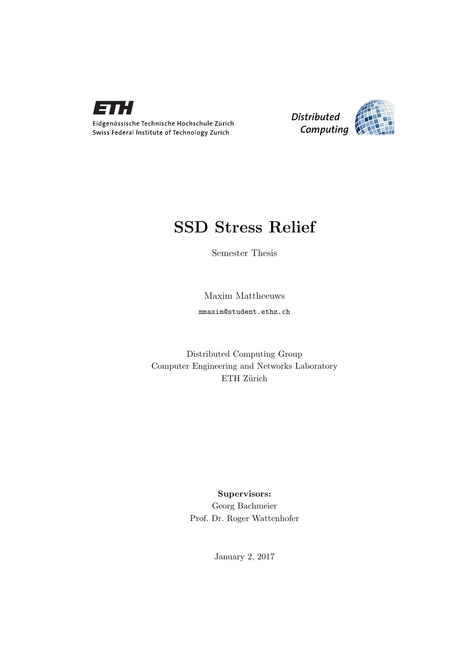



## SSD Stress Relief

Semester Thesis

Maxim Mattheeuws

mmaxim@student.ethz.ch

Distributed Computing Group Computer Engineering and Networks Laboratory ETH Zürich

> Supervisors: Georg Bachmeier Prof. Dr. Roger Wattenhofer

> > January 2, 2017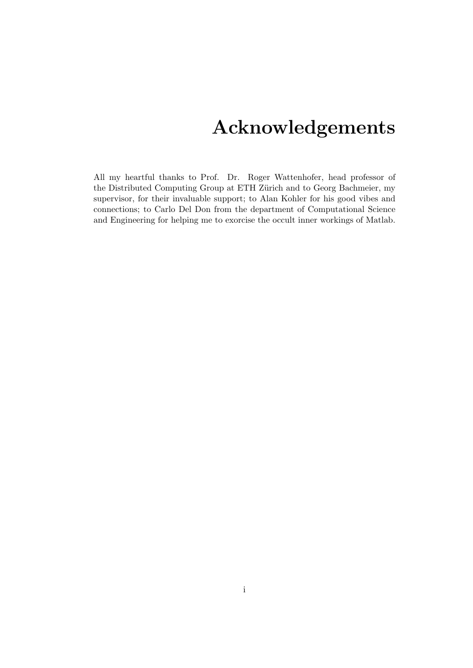## Acknowledgements

<span id="page-1-0"></span>All my heartful thanks to Prof. Dr. Roger Wattenhofer, head professor of the Distributed Computing Group at ETH Zürich and to Georg Bachmeier, my supervisor, for their invaluable support; to Alan Kohler for his good vibes and connections; to Carlo Del Don from the department of Computational Science and Engineering for helping me to exorcise the occult inner workings of Matlab.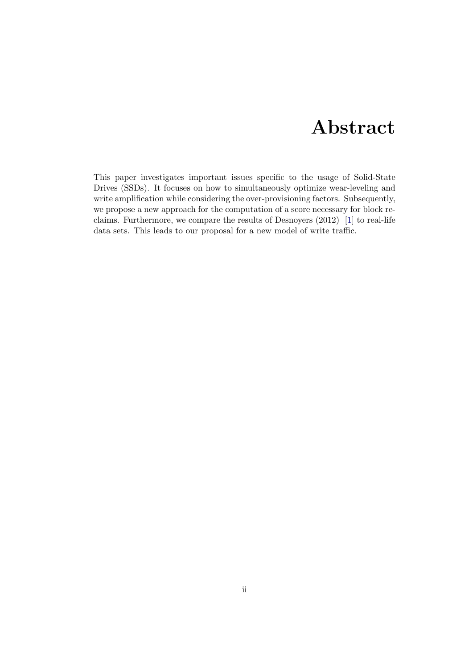## Abstract

<span id="page-2-0"></span>This paper investigates important issues specific to the usage of Solid-State Drives (SSDs). It focuses on how to simultaneously optimize wear-leveling and write amplification while considering the over-provisioning factors. Subsequently, we propose a new approach for the computation of a score necessary for block reclaims. Furthermore, we compare the results of Desnoyers (2012) [\[1\]](#page-21-0) to real-life data sets. This leads to our proposal for a new model of write traffic.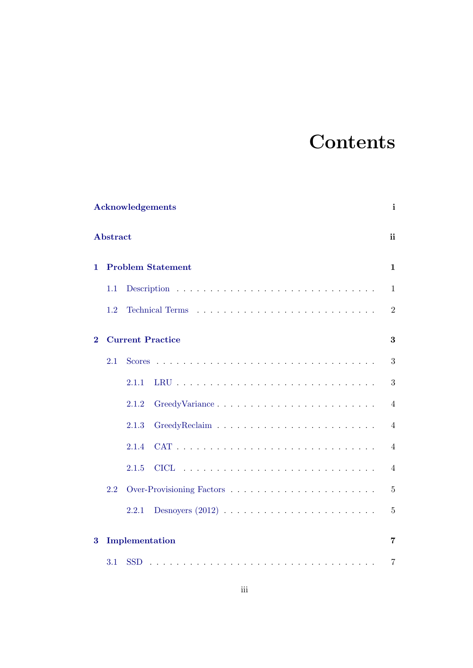# **Contents**

|          |                 | <b>Acknowledgements</b>  | i              |
|----------|-----------------|--------------------------|----------------|
|          | <b>Abstract</b> |                          | ii             |
| 1.       |                 | <b>Problem Statement</b> | 1              |
|          | 1.1             |                          | $\mathbf{1}$   |
|          | 1.2             |                          | $\overline{2}$ |
| $\bf{2}$ |                 | <b>Current Practice</b>  | 3              |
|          | 2.1             |                          | 3              |
|          |                 | 2.1.1                    | 3              |
|          |                 | GreedyVariance<br>2.1.2  | $\overline{4}$ |
|          |                 | 2.1.3                    | $\overline{4}$ |
|          |                 | 2.1.4                    | $\overline{4}$ |
|          |                 | <b>CICL</b><br>2.1.5     | $\overline{4}$ |
|          | 2.2             |                          | $\overline{5}$ |
|          |                 | 2.2.1                    | $\overline{5}$ |
| $\bf{3}$ |                 | Implementation           | 7              |
|          | 3.1             | <b>SSD</b>               | $\overline{7}$ |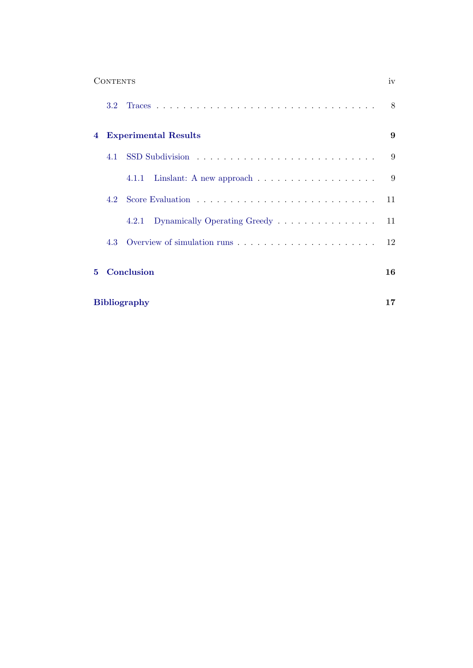|                  | <b>CONTENTS</b>  |                                                                                   | iv |  |  |
|------------------|------------------|-----------------------------------------------------------------------------------|----|--|--|
|                  | 3.2 <sub>2</sub> |                                                                                   | 8  |  |  |
| 4                |                  | <b>Experimental Results</b>                                                       | 9  |  |  |
|                  |                  |                                                                                   | 9  |  |  |
|                  |                  | Linslant: A new approach $\ldots \ldots \ldots \ldots \ldots \ldots$<br>4.1.1     | 9  |  |  |
|                  | 42               | Score Evaluation $\ldots \ldots \ldots \ldots \ldots \ldots \ldots \ldots \ldots$ | 11 |  |  |
|                  |                  | Dynamically Operating Greedy<br>4.2.1                                             | 11 |  |  |
|                  | 4.3              |                                                                                   | 12 |  |  |
| Conclusion<br>5. |                  |                                                                                   |    |  |  |
|                  |                  | <b>Bibliography</b>                                                               | 17 |  |  |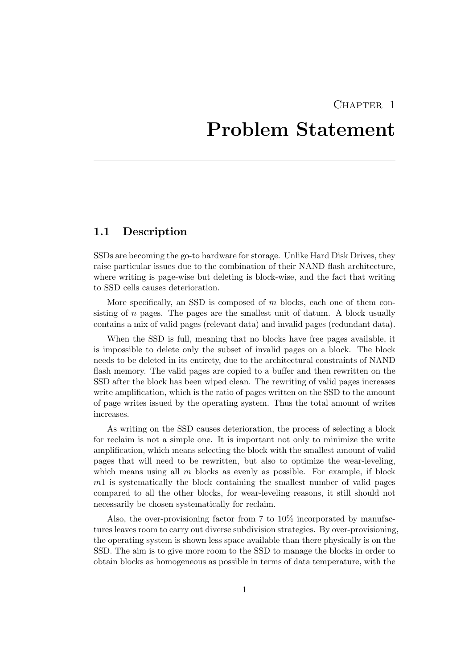## CHAPTER<sub>1</sub>

## <span id="page-5-0"></span>Problem Statement

### <span id="page-5-1"></span>1.1 Description

SSDs are becoming the go-to hardware for storage. Unlike Hard Disk Drives, they raise particular issues due to the combination of their NAND flash architecture, where writing is page-wise but deleting is block-wise, and the fact that writing to SSD cells causes deterioration.

More specifically, an SSD is composed of  $m$  blocks, each one of them consisting of  $n$  pages. The pages are the smallest unit of datum. A block usually contains a mix of valid pages (relevant data) and invalid pages (redundant data).

When the SSD is full, meaning that no blocks have free pages available, it is impossible to delete only the subset of invalid pages on a block. The block needs to be deleted in its entirety, due to the architectural constraints of NAND flash memory. The valid pages are copied to a buffer and then rewritten on the SSD after the block has been wiped clean. The rewriting of valid pages increases write amplification, which is the ratio of pages written on the SSD to the amount of page writes issued by the operating system. Thus the total amount of writes increases.

As writing on the SSD causes deterioration, the process of selecting a block for reclaim is not a simple one. It is important not only to minimize the write amplification, which means selecting the block with the smallest amount of valid pages that will need to be rewritten, but also to optimize the wear-leveling, which means using all  $m$  blocks as evenly as possible. For example, if block m1 is systematically the block containing the smallest number of valid pages compared to all the other blocks, for wear-leveling reasons, it still should not necessarily be chosen systematically for reclaim.

Also, the over-provisioning factor from 7 to 10% incorporated by manufactures leaves room to carry out diverse subdivision strategies. By over-provisioning, the operating system is shown less space available than there physically is on the SSD. The aim is to give more room to the SSD to manage the blocks in order to obtain blocks as homogeneous as possible in terms of data temperature, with the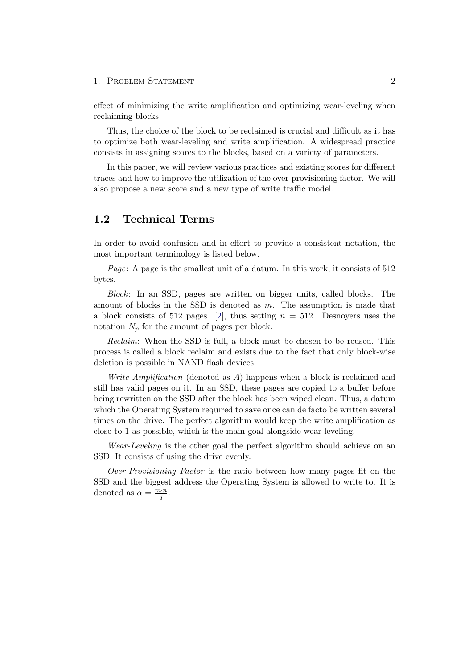#### 1. PROBLEM STATEMENT 2

effect of minimizing the write amplification and optimizing wear-leveling when reclaiming blocks.

Thus, the choice of the block to be reclaimed is crucial and difficult as it has to optimize both wear-leveling and write amplification. A widespread practice consists in assigning scores to the blocks, based on a variety of parameters.

In this paper, we will review various practices and existing scores for different traces and how to improve the utilization of the over-provisioning factor. We will also propose a new score and a new type of write traffic model.

### <span id="page-6-0"></span>1.2 Technical Terms

In order to avoid confusion and in effort to provide a consistent notation, the most important terminology is listed below.

Page: A page is the smallest unit of a datum. In this work, it consists of 512 bytes.

Block: In an SSD, pages are written on bigger units, called blocks. The amount of blocks in the SSD is denoted as  $m$ . The assumption is made that a block consists of 512 pages [\[2\]](#page-21-2), thus setting  $n = 512$ . Desnoyers uses the notation  $N_p$  for the amount of pages per block.

Reclaim: When the SSD is full, a block must be chosen to be reused. This process is called a block reclaim and exists due to the fact that only block-wise deletion is possible in NAND flash devices.

Write Amplification (denoted as A) happens when a block is reclaimed and still has valid pages on it. In an SSD, these pages are copied to a buffer before being rewritten on the SSD after the block has been wiped clean. Thus, a datum which the Operating System required to save once can de facto be written several times on the drive. The perfect algorithm would keep the write amplification as close to 1 as possible, which is the main goal alongside wear-leveling.

Wear-Leveling is the other goal the perfect algorithm should achieve on an SSD. It consists of using the drive evenly.

Over-Provisioning Factor is the ratio between how many pages fit on the SSD and the biggest address the Operating System is allowed to write to. It is denoted as  $\alpha = \frac{m \cdot n}{a}$  $\frac{i\cdot n}{q}$  .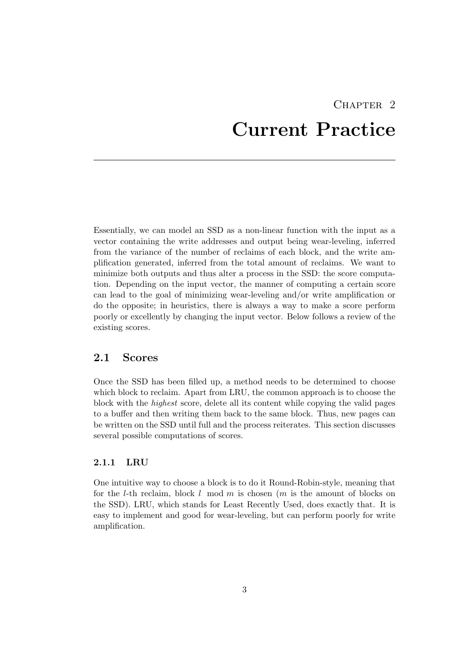# CHAPTER<sub>2</sub> Current Practice

<span id="page-7-0"></span>Essentially, we can model an SSD as a non-linear function with the input as a vector containing the write addresses and output being wear-leveling, inferred from the variance of the number of reclaims of each block, and the write amplification generated, inferred from the total amount of reclaims. We want to minimize both outputs and thus alter a process in the SSD: the score computation. Depending on the input vector, the manner of computing a certain score can lead to the goal of minimizing wear-leveling and/or write amplification or do the opposite; in heuristics, there is always a way to make a score perform poorly or excellently by changing the input vector. Below follows a review of the existing scores.

### <span id="page-7-1"></span>2.1 Scores

Once the SSD has been filled up, a method needs to be determined to choose which block to reclaim. Apart from LRU, the common approach is to choose the block with the highest score, delete all its content while copying the valid pages to a buffer and then writing them back to the same block. Thus, new pages can be written on the SSD until full and the process reiterates. This section discusses several possible computations of scores.

#### <span id="page-7-2"></span>2.1.1 LRU

One intuitive way to choose a block is to do it Round-Robin-style, meaning that for the l-th reclaim, block l mod m is chosen  $(m$  is the amount of blocks on the SSD). LRU, which stands for Least Recently Used, does exactly that. It is easy to implement and good for wear-leveling, but can perform poorly for write amplification.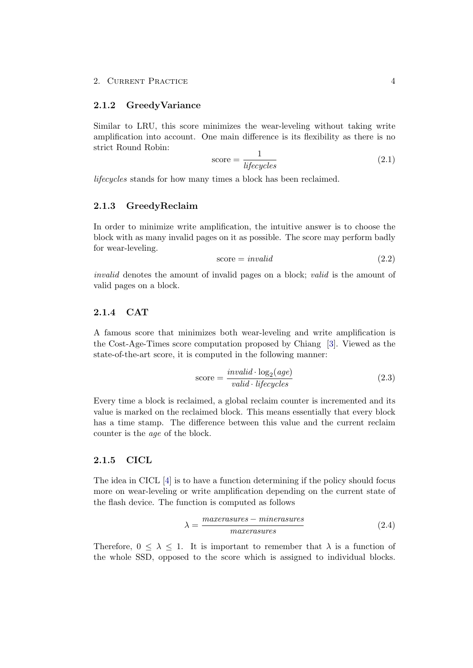#### <span id="page-8-0"></span>2.1.2 GreedyVariance

Similar to LRU, this score minimizes the wear-leveling without taking write amplification into account. One main difference is its flexibility as there is no strict Round Robin:

$$
score = \frac{1}{lifecycles}
$$
\n
$$
(2.1)
$$

lifecycles stands for how many times a block has been reclaimed.

#### <span id="page-8-1"></span>2.1.3 GreedyReclaim

In order to minimize write amplification, the intuitive answer is to choose the block with as many invalid pages on it as possible. The score may perform badly for wear-leveling.

$$
score = invalid \tag{2.2}
$$

invalid denotes the amount of invalid pages on a block; valid is the amount of valid pages on a block.

#### <span id="page-8-2"></span>2.1.4 CAT

A famous score that minimizes both wear-leveling and write amplification is the Cost-Age-Times score computation proposed by Chiang [\[3\]](#page-21-3). Viewed as the state-of-the-art score, it is computed in the following manner:

$$
score = \frac{invalid \cdot \log_2(age)}{valid \cdot ligeycles}
$$
\n(2.3)

Every time a block is reclaimed, a global reclaim counter is incremented and its value is marked on the reclaimed block. This means essentially that every block has a time stamp. The difference between this value and the current reclaim counter is the age of the block.

#### <span id="page-8-3"></span>2.1.5 CICL

The idea in CICL [\[4\]](#page-21-4) is to have a function determining if the policy should focus more on wear-leveling or write amplification depending on the current state of the flash device. The function is computed as follows

$$
\lambda = \frac{\text{maxerasures} - \text{minerasures}}{\text{maxerasures}} \tag{2.4}
$$

Therefore,  $0 \leq \lambda \leq 1$ . It is important to remember that  $\lambda$  is a function of the whole SSD, opposed to the score which is assigned to individual blocks.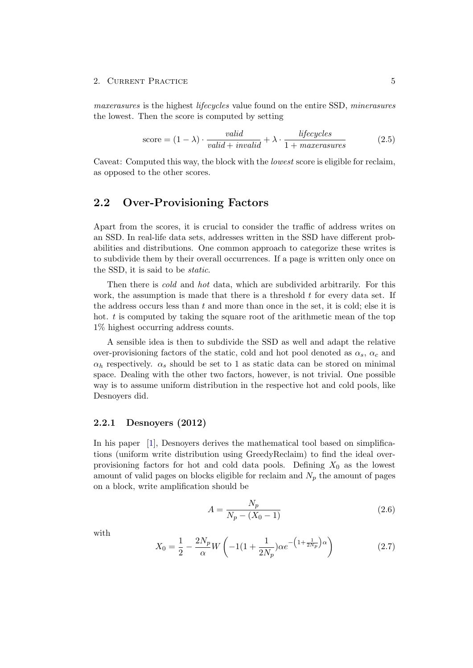#### 2. CURRENT PRACTICE 5

maxerasures is the highest lifecycles value found on the entire SSD, minerasures the lowest. Then the score is computed by setting

$$
score = (1 - \lambda) \cdot \frac{valid}{valid + invalid + \lambda \cdot \frac{lifecycles}{1 + maxtransures}}
$$
(2.5)

Caveat: Computed this way, the block with the *lowest* score is eligible for reclaim. as opposed to the other scores.

### <span id="page-9-0"></span>2.2 Over-Provisioning Factors

Apart from the scores, it is crucial to consider the traffic of address writes on an SSD. In real-life data sets, addresses written in the SSD have different probabilities and distributions. One common approach to categorize these writes is to subdivide them by their overall occurrences. If a page is written only once on the SSD, it is said to be static.

Then there is *cold* and *hot* data, which are subdivided arbitrarily. For this work, the assumption is made that there is a threshold  $t$  for every data set. If the address occurs less than  $t$  and more than once in the set, it is cold; else it is hot. t is computed by taking the square root of the arithmetic mean of the top 1% highest occurring address counts.

A sensible idea is then to subdivide the SSD as well and adapt the relative over-provisioning factors of the static, cold and hot pool denoted as  $\alpha_s$ ,  $\alpha_c$  and  $\alpha_h$  respectively.  $\alpha_s$  should be set to 1 as static data can be stored on minimal space. Dealing with the other two factors, however, is not trivial. One possible way is to assume uniform distribution in the respective hot and cold pools, like Desnoyers did.

#### <span id="page-9-1"></span>2.2.1 Desnoyers (2012)

In his paper [\[1\]](#page-21-0), Desnoyers derives the mathematical tool based on simplifications (uniform write distribution using GreedyReclaim) to find the ideal overprovisioning factors for hot and cold data pools. Defining  $X_0$  as the lowest amount of valid pages on blocks eligible for reclaim and  $N_p$  the amount of pages on a block, write amplification should be

$$
A = \frac{N_p}{N_p - (X_0 - 1)}
$$
\n(2.6)

with

$$
X_0 = \frac{1}{2} - \frac{2N_p}{\alpha} W \left( -1\left(1 + \frac{1}{2N_p} \right) \alpha e^{-\left(1 + \frac{1}{2N_p}\right)\alpha} \right) \tag{2.7}
$$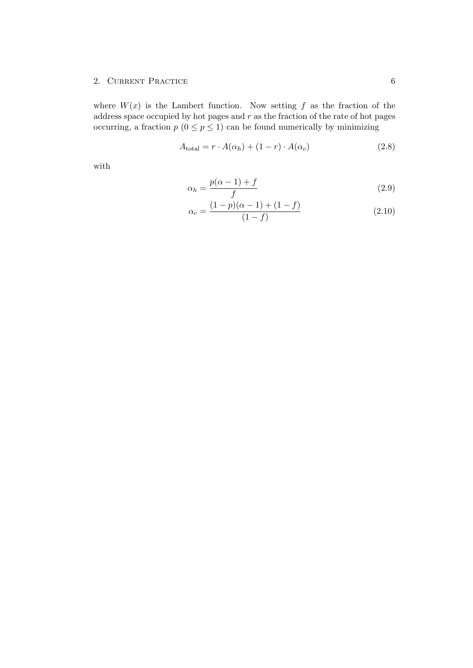#### 2. CURRENT PRACTICE 6

where  $W(x)$  is the Lambert function. Now setting f as the fraction of the address space occupied by hot pages and  $r$  as the fraction of the rate of hot pages occurring, a fraction  $p(0 \leq p \leq 1)$  can be found numerically by minimizing

$$
A_{\text{total}} = r \cdot A(\alpha_h) + (1 - r) \cdot A(\alpha_c) \tag{2.8}
$$

with

$$
\alpha_h = \frac{p(\alpha - 1) + f}{f} \tag{2.9}
$$

$$
\alpha_c = \frac{(1-p)(\alpha-1) + (1-f)}{(1-f)}
$$
\n(2.10)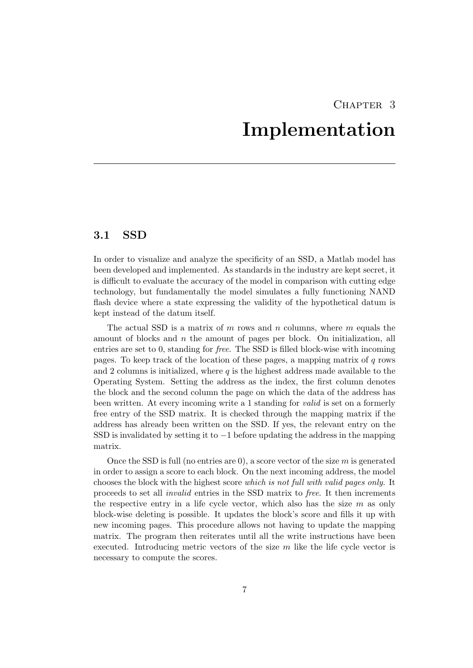## CHAPTER<sub>3</sub> Implementation

## <span id="page-11-1"></span><span id="page-11-0"></span>3.1 SSD

In order to visualize and analyze the specificity of an SSD, a Matlab model has been developed and implemented. As standards in the industry are kept secret, it is difficult to evaluate the accuracy of the model in comparison with cutting edge technology, but fundamentally the model simulates a fully functioning NAND flash device where a state expressing the validity of the hypothetical datum is kept instead of the datum itself.

The actual SSD is a matrix of  $m$  rows and  $n$  columns, where  $m$  equals the amount of blocks and  $n$  the amount of pages per block. On initialization, all entries are set to 0, standing for free. The SSD is filled block-wise with incoming pages. To keep track of the location of these pages, a mapping matrix of  $q$  rows and 2 columns is initialized, where  $q$  is the highest address made available to the Operating System. Setting the address as the index, the first column denotes the block and the second column the page on which the data of the address has been written. At every incoming write a 1 standing for valid is set on a formerly free entry of the SSD matrix. It is checked through the mapping matrix if the address has already been written on the SSD. If yes, the relevant entry on the SSD is invalidated by setting it to  $-1$  before updating the address in the mapping matrix.

Once the SSD is full (no entries are 0), a score vector of the size  $m$  is generated in order to assign a score to each block. On the next incoming address, the model chooses the block with the highest score which is not full with valid pages only. It proceeds to set all invalid entries in the SSD matrix to free. It then increments the respective entry in a life cycle vector, which also has the size  $m$  as only block-wise deleting is possible. It updates the block's score and fills it up with new incoming pages. This procedure allows not having to update the mapping matrix. The program then reiterates until all the write instructions have been executed. Introducing metric vectors of the size  $m$  like the life cycle vector is necessary to compute the scores.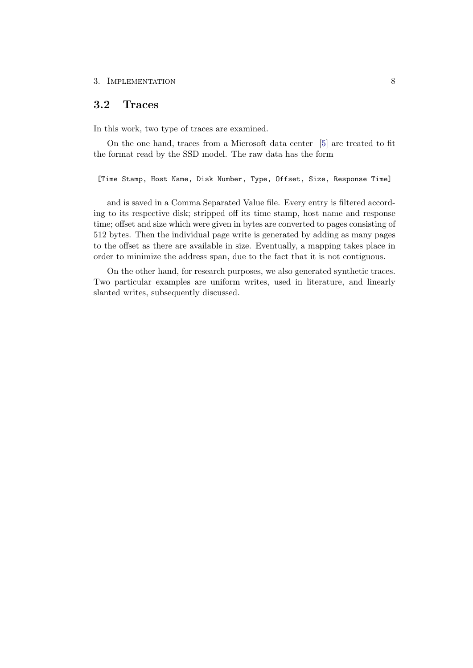### <span id="page-12-0"></span>3.2 Traces

In this work, two type of traces are examined.

On the one hand, traces from a Microsoft data center [\[5\]](#page-21-5) are treated to fit the format read by the SSD model. The raw data has the form

[Time Stamp, Host Name, Disk Number, Type, Offset, Size, Response Time]

and is saved in a Comma Separated Value file. Every entry is filtered according to its respective disk; stripped off its time stamp, host name and response time; offset and size which were given in bytes are converted to pages consisting of 512 bytes. Then the individual page write is generated by adding as many pages to the offset as there are available in size. Eventually, a mapping takes place in order to minimize the address span, due to the fact that it is not contiguous.

On the other hand, for research purposes, we also generated synthetic traces. Two particular examples are uniform writes, used in literature, and linearly slanted writes, subsequently discussed.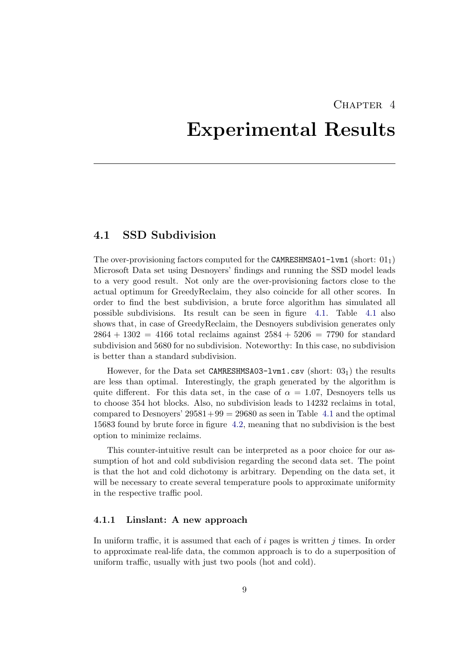## CHAPTER<sub>4</sub>

## <span id="page-13-0"></span>Experimental Results

### <span id="page-13-1"></span>4.1 SSD Subdivision

The over-provisioning factors computed for the CAMRESHMSA01-lvm1 (short:  $01<sub>1</sub>$ ) Microsoft Data set using Desnoyers' findings and running the SSD model leads to a very good result. Not only are the over-provisioning factors close to the actual optimum for GreedyReclaim, they also coincide for all other scores. In order to find the best subdivision, a brute force algorithm has simulated all possible subdivisions. Its result can be seen in figure [4.1.](#page-14-0) Table [4.1](#page-18-0) also shows that, in case of GreedyReclaim, the Desnoyers subdivision generates only  $2864 + 1302 = 4166$  total reclaims against  $2584 + 5206 = 7790$  for standard subdivision and 5680 for no subdivision. Noteworthy: In this case, no subdivision is better than a standard subdivision.

However, for the Data set CAMRESHMSA03-lvm1.csv (short:  $03<sub>1</sub>$ ) the results are less than optimal. Interestingly, the graph generated by the algorithm is quite different. For this data set, in the case of  $\alpha = 1.07$ , Desnoyers tells us to choose 354 hot blocks. Also, no subdivision leads to 14232 reclaims in total, compared to Desnoyers'  $29581+99 = 29680$  as seen in Table [4.1](#page-18-0) and the optimal 15683 found by brute force in figure [4.2,](#page-15-2) meaning that no subdivision is the best option to minimize reclaims.

This counter-intuitive result can be interpreted as a poor choice for our assumption of hot and cold subdivision regarding the second data set. The point is that the hot and cold dichotomy is arbitrary. Depending on the data set, it will be necessary to create several temperature pools to approximate uniformity in the respective traffic pool.

#### <span id="page-13-2"></span>4.1.1 Linslant: A new approach

In uniform traffic, it is assumed that each of  $i$  pages is written  $j$  times. In order to approximate real-life data, the common approach is to do a superposition of uniform traffic, usually with just two pools (hot and cold).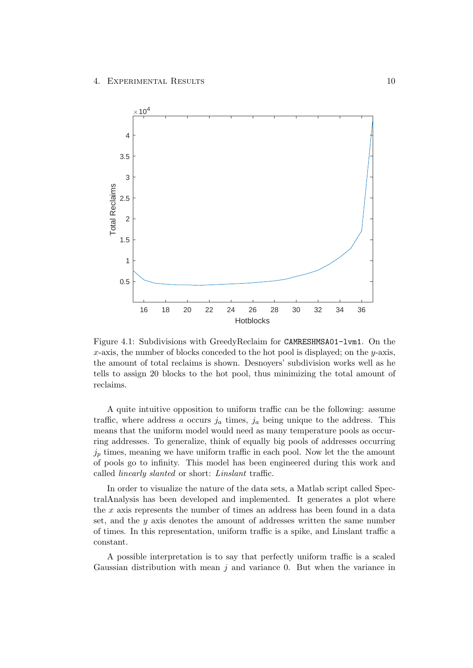

<span id="page-14-0"></span>Figure 4.1: Subdivisions with GreedyReclaim for CAMRESHMSA01-lvm1. On the  $x$ -axis, the number of blocks conceded to the hot pool is displayed; on the  $y$ -axis, the amount of total reclaims is shown. Desnoyers' subdivision works well as he tells to assign 20 blocks to the hot pool, thus minimizing the total amount of reclaims.

A quite intuitive opposition to uniform traffic can be the following: assume traffic, where address a occurs  $j_a$  times,  $j_a$  being unique to the address. This means that the uniform model would need as many temperature pools as occurring addresses. To generalize, think of equally big pools of addresses occurring  $j_p$  times, meaning we have uniform traffic in each pool. Now let the the amount of pools go to infinity. This model has been engineered during this work and called linearly slanted or short: Linslant traffic.

In order to visualize the nature of the data sets, a Matlab script called SpectralAnalysis has been developed and implemented. It generates a plot where the  $x$  axis represents the number of times an address has been found in a data set, and the y axis denotes the amount of addresses written the same number of times. In this representation, uniform traffic is a spike, and Linslant traffic a constant.

A possible interpretation is to say that perfectly uniform traffic is a scaled Gaussian distribution with mean  $j$  and variance 0. But when the variance in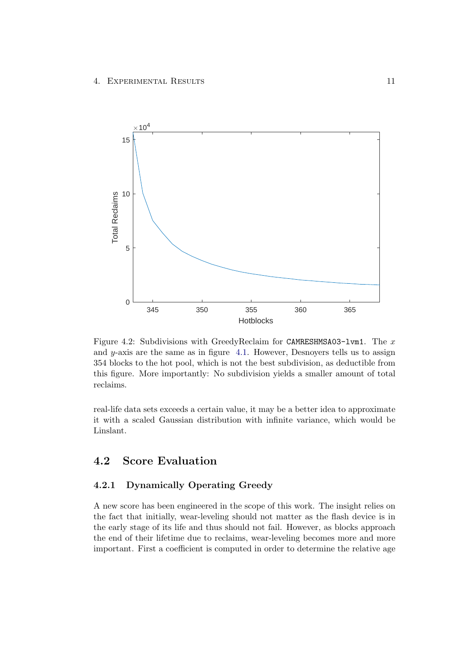

<span id="page-15-2"></span>Figure 4.2: Subdivisions with GreedyReclaim for CAMRESHMSA03-lvm1. The x and y-axis are the same as in figure [4.1.](#page-14-0) However, Desnoyers tells us to assign 354 blocks to the hot pool, which is not the best subdivision, as deductible from this figure. More importantly: No subdivision yields a smaller amount of total reclaims.

real-life data sets exceeds a certain value, it may be a better idea to approximate it with a scaled Gaussian distribution with infinite variance, which would be Linslant.

## <span id="page-15-0"></span>4.2 Score Evaluation

### <span id="page-15-1"></span>4.2.1 Dynamically Operating Greedy

A new score has been engineered in the scope of this work. The insight relies on the fact that initially, wear-leveling should not matter as the flash device is in the early stage of its life and thus should not fail. However, as blocks approach the end of their lifetime due to reclaims, wear-leveling becomes more and more important. First a coefficient is computed in order to determine the relative age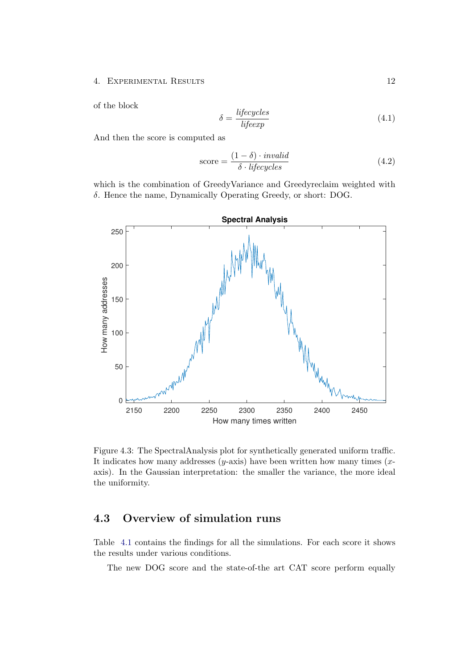#### 4. EXPERIMENTAL RESULTS 12

of the block

$$
\delta = \frac{bigeycles}{bigeexp} \tag{4.1}
$$

And then the score is computed as

$$
score = \frac{(1 - \delta) \cdot invalid}{\delta \cdot lifecycles}
$$
\n(4.2)

which is the combination of GreedyVariance and Greedyreclaim weighted with δ. Hence the name, Dynamically Operating Greedy, or short: DOG.



<span id="page-16-1"></span>Figure 4.3: The SpectralAnalysis plot for synthetically generated uniform traffic. It indicates how many addresses  $(y\text{-axis})$  have been written how many times  $(x\text{-}$ axis). In the Gaussian interpretation: the smaller the variance, the more ideal the uniformity.

## <span id="page-16-0"></span>4.3 Overview of simulation runs

Table [4.1](#page-18-0) contains the findings for all the simulations. For each score it shows the results under various conditions.

The new DOG score and the state-of-the art CAT score perform equally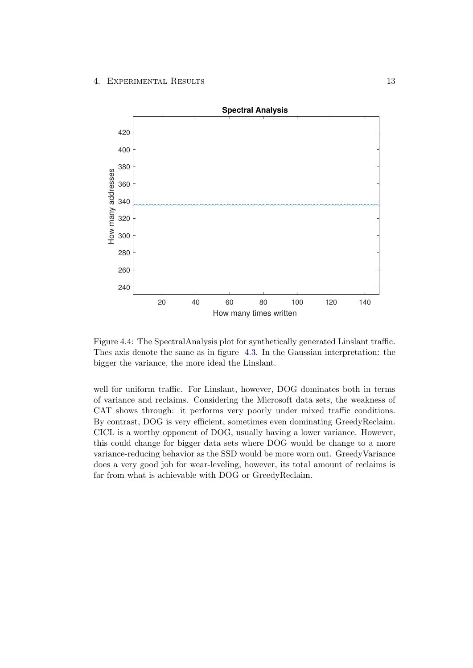

Figure 4.4: The SpectralAnalysis plot for synthetically generated Linslant traffic. Thes axis denote the same as in figure [4.3.](#page-16-1) In the Gaussian interpretation: the bigger the variance, the more ideal the Linslant.

well for uniform traffic. For Linslant, however, DOG dominates both in terms of variance and reclaims. Considering the Microsoft data sets, the weakness of CAT shows through: it performs very poorly under mixed traffic conditions. By contrast, DOG is very efficient, sometimes even dominating GreedyReclaim. CICL is a worthy opponent of DOG, usually having a lower variance. However, this could change for bigger data sets where DOG would be change to a more variance-reducing behavior as the SSD would be more worn out. GreedyVariance does a very good job for wear-leveling, however, its total amount of reclaims is far from what is achievable with DOG or GreedyReclaim.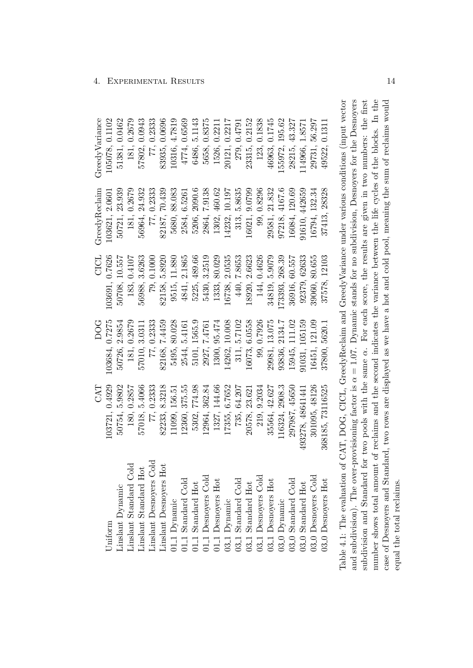|                |                 |                |                |                  | Table 4.1: The evaluation of CAT, DOG, CICL, GreedyReclaim and GreedyVariance under various conditions (input vector<br>and subdivision). The over-provisioning factor is $\alpha = 1.07$ . Dynamic stands for no subdivision, Desnoyers for the Desnoyers |
|----------------|-----------------|----------------|----------------|------------------|------------------------------------------------------------------------------------------------------------------------------------------------------------------------------------------------------------------------------------------------------------|
| 49522, 0.1311  | 37413, 28328    | 37578, 12103   | 37800, 5620.1  | 368185, 73116525 | $03.0$ Desnoyers $\operatorname{Hot}$                                                                                                                                                                                                                      |
| 29731, 56.297  | 16794, 132.34   | 39060, 80.655  | 16451, 121.09  | 301095, 48126    | 3 <sub>-0</sub> Desnoyers Cold                                                                                                                                                                                                                             |
| 14966, 1.8571  | 1610, 442659    | 92379, 62633   | 91031, 105159  | 493278, 48641441 | $3.0$ Standard Hot                                                                                                                                                                                                                                         |
| 28215, 43.327  | 16084, 120.69   | 36916, 60.557  | 15945, 111.02  | 297987, 45650    | 03 <sub>-0</sub> Standard Cold                                                                                                                                                                                                                             |
| 55972, 195.62  | 97218, 4167.6   | 73393, 268.39  | 93836, 2134.7  | 116324, 2908.3   | 03 <sub>-0</sub> Dynamic                                                                                                                                                                                                                                   |
| 46963, 0.1745  | 29581, 21.832   | 34819, 5.9079  | 29981, 13.075  | 35564, 42.627    | 3.1 Desnoyers Hot                                                                                                                                                                                                                                          |
| 123, 0.1838    | 99, 0.8296      | 144, 0.4626    | 99, 0.7926     | 219, 9.2034      | 03 <sub>-1</sub> Desnoyers Cold                                                                                                                                                                                                                            |
| 23315, 0.2152  | 16021, 9.0799   | 18920, 2.6623  | 16073, 6.0558  | 20578, 23.621    | $3.1$ Standard Hot                                                                                                                                                                                                                                         |
| 279, 0.4791    | 5.8635<br>313,  | 440, 7.8653    | 311, 5.7102    | 735, 64.207      | 03 <sub>-1</sub> Dynamic<br>03 <sub>-</sub> 1 Standard Cold                                                                                                                                                                                                |
| 20121, 0.2217  | 14232, 10.197   | 16738, 2.0535  | 14262, 10.008  | 17355, 6.7652    |                                                                                                                                                                                                                                                            |
| 1526, 0.2211   | 1302, 460.62    | 1333, 80.029   | 1300, 95.474   | 1327, 144.66     |                                                                                                                                                                                                                                                            |
| 5658, 0.8375   | 7.9138<br>2864, | 5430, 3.2519   | 2927, 7.4761   | 12964, 362.84    | $\begin{array}{c} 01.1 \text{ Standard Hot} \\ 01.1 \text{ Desnoyes Cold} \\ 01.1 \text{ Desnoyes Hot} \end{array}$                                                                                                                                        |
| 6486, 5.1143   | 5206, 2090.6    | 5225, 489.66   | 5101, 1565.9   | 5302, 774.98     |                                                                                                                                                                                                                                                            |
| 4774, 0.6569   | 2584, 6.5261    | 4841, 2.1865   | 2544, 5.4161   | 12360, 375.55    | 11.1 Standard Cold                                                                                                                                                                                                                                         |
| 10316, 4.7819  | 5680, 88.083    | 9515, 11.880   | 5495, 80.028   | 11099, 156.51    | 01 <sub>-1</sub> Dynamic                                                                                                                                                                                                                                   |
| 83935, 0.0696  | 82187, 70.439   | 82158, 5.8920  | 82168, 7.4459  | 82233, 8.3218    | inslant Desnoyers Hot                                                                                                                                                                                                                                      |
| 77, 0.2333     | 77, 0.2333      | 79, 0.1000     | 77, 0.2333     | 77, 0.2333       | Linslant Desnoyers Cold                                                                                                                                                                                                                                    |
| 57802, 0.0943  | 56964, 24.932   | 56988, 3.6263  | 57010, 3.0311  | 57018, 5.4066    | inslant Standard Hot                                                                                                                                                                                                                                       |
| 181, 0.2679    | 181, 0.2679     | 183, 0.4107    | 181, 0.2679    | 180, 0.2857      | Linslant Standard Cold                                                                                                                                                                                                                                     |
| 51381, 0.0462  | 50721, 23.939   | 50708, 10.557  | 50726, 2.9854  | 50754, 5.9802    | Linslant Dynamic                                                                                                                                                                                                                                           |
| 105078, 0.1102 | 103621, 2.0601  | 103691, 0.7626 | 103684, 0.7275 | 103721, 0.4929   | Jniform                                                                                                                                                                                                                                                    |
| GreedyVariance | GreedyReclaim   | CICL           | DOG            | <b>LYO</b>       |                                                                                                                                                                                                                                                            |

<span id="page-18-0"></span>and subdivision). The over-provisioning factor is  $\alpha = 1.07$ . Dynamic stands for no subdivision, Desnoyers for the Desnoyers number shows total amount of reclaims and the second indicates the variance between the life cycles of the blocks. In the case of Desnoyers and Standard, two rows are displayed as we have a hot and cold pool, meaning the sum of reclaims would  $\alpha = 1.07$ . Dynamic stands for no subdivision, Desnoyers for the Desnoyers α. For each score, the results are given in two numbers: the first number shows total amount of reclaims and the second indicates the variance between the life cycles of the blocks. In the case of Desnoyers and Standard, two rows are displayed as we have a hot and cold pool, meaning the sum of reclaims would subdivision and Standard for two pools with the same equal the total reclaims. equal the total reclaims.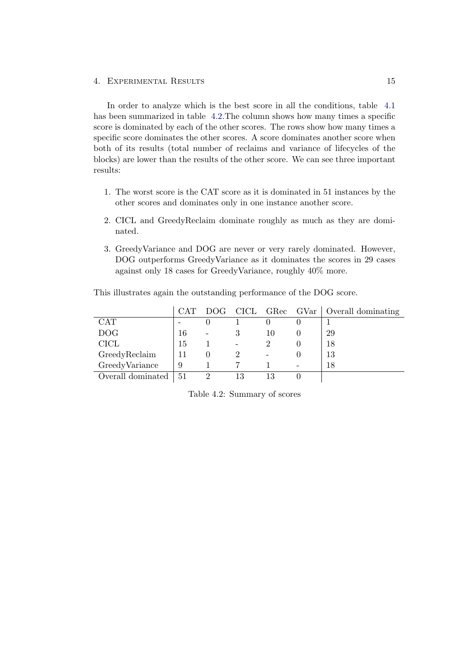#### 4. Experimental Results 15

In order to analyze which is the best score in all the conditions, table [4.1](#page-18-0) has been summarized in table [4.2.](#page-19-0)The column shows how many times a specific score is dominated by each of the other scores. The rows show how many times a specific score dominates the other scores. A score dominates another score when both of its results (total number of reclaims and variance of lifecycles of the blocks) are lower than the results of the other score. We can see three important results:

- 1. The worst score is the CAT score as it is dominated in 51 instances by the other scores and dominates only in one instance another score.
- 2. CICL and GreedyReclaim dominate roughly as much as they are dominated.
- 3. GreedyVariance and DOG are never or very rarely dominated. However, DOG outperforms GreedyVariance as it dominates the scores in 29 cases against only 18 cases for GreedyVariance, roughly 40% more.

|                   | <b>CAT</b> | DOG. |   |    | CICL GRec GVar   Overall dominating |
|-------------------|------------|------|---|----|-------------------------------------|
| <b>CAT</b>        |            |      |   |    |                                     |
| <b>DOG</b>        | 16         |      |   | 10 | 29                                  |
| CICL              | 15         |      | - |    | 18                                  |
| GreedyReclaim     |            |      |   |    | 13                                  |
| GreedyVariance    | 9          |      |   |    | 18                                  |
| Overall dominated | 51         | റ    |   |    |                                     |

This illustrates again the outstanding performance of the DOG score.

<span id="page-19-0"></span>Table 4.2: Summary of scores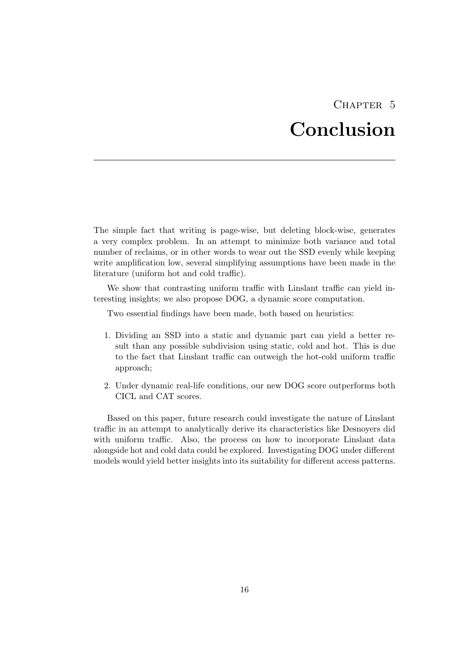## CHAPTER<sub>5</sub> Conclusion

<span id="page-20-0"></span>The simple fact that writing is page-wise, but deleting block-wise, generates a very complex problem. In an attempt to minimize both variance and total number of reclaims, or in other words to wear out the SSD evenly while keeping write amplification low, several simplifying assumptions have been made in the literature (uniform hot and cold traffic).

We show that contrasting uniform traffic with Linslant traffic can yield interesting insights; we also propose DOG, a dynamic score computation.

Two essential findings have been made, both based on heuristics:

- 1. Dividing an SSD into a static and dynamic part can yield a better result than any possible subdivision using static, cold and hot. This is due to the fact that Linslant traffic can outweigh the hot-cold uniform traffic approach;
- 2. Under dynamic real-life conditions, our new DOG score outperforms both CICL and CAT scores.

Based on this paper, future research could investigate the nature of Linslant traffic in an attempt to analytically derive its characteristics like Desnoyers did with uniform traffic. Also, the process on how to incorporate Linslant data alongside hot and cold data could be explored. Investigating DOG under different models would yield better insights into its suitability for different access patterns.